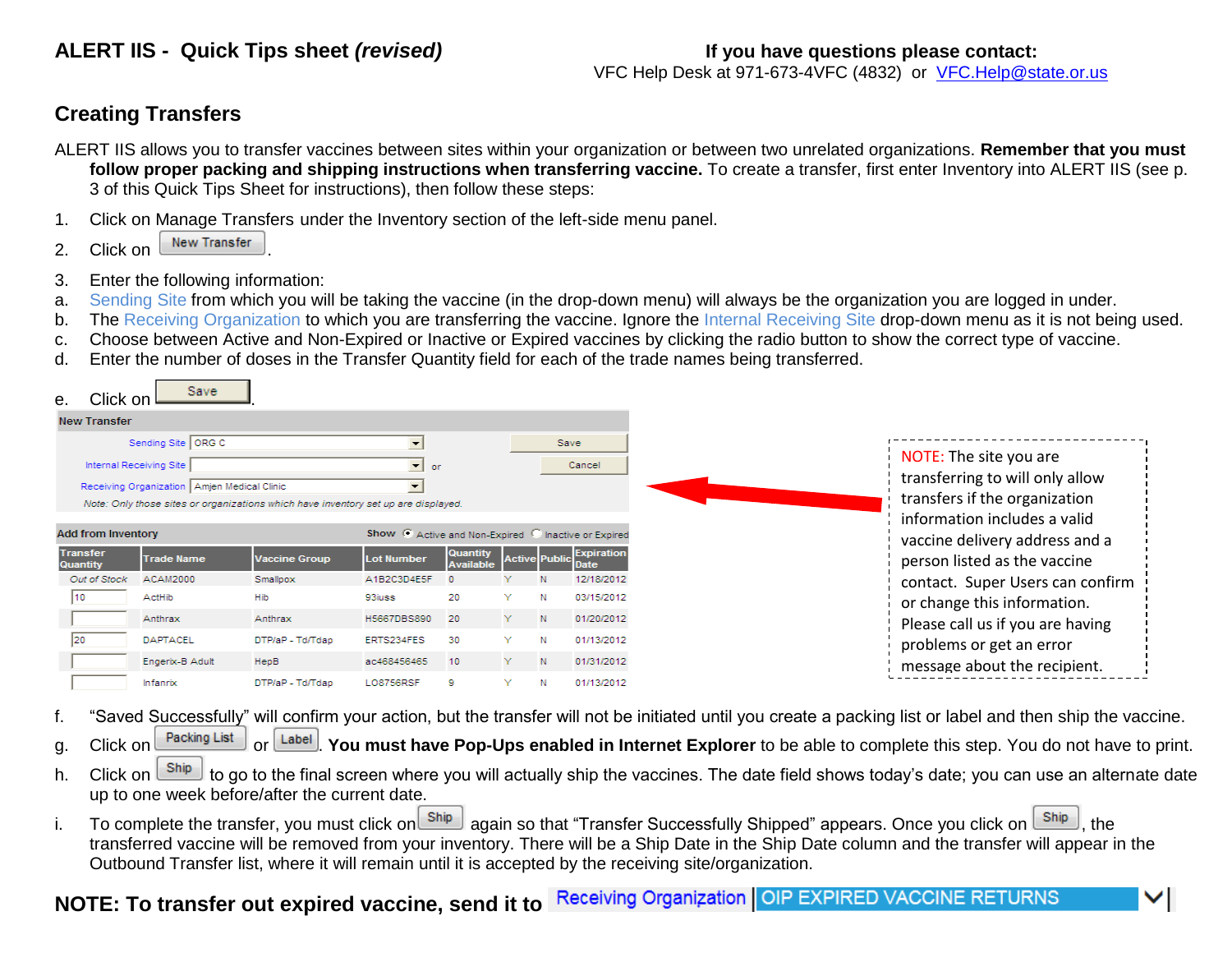VFC Help Desk at 971-673-4VFC (4832) or [VFC.Help@state.or.us](mailto:VFC.Help@state.or.us)

### **Creating Transfers**

- ALERT IIS allows you to transfer vaccines between sites within your organization or between two unrelated organizations. **Remember that you must follow proper packing and shipping instructions when transferring vaccine.** To create a transfer, first enter Inventory into ALERT IIS (see p. 3 of this Quick Tips Sheet for instructions), then follow these steps:
- 1. Click on Manage Transfers under the Inventory section of the left-side menu panel.
- 2. Click on  $\sqrt{\phantom{a}}$  New Transfer
- 3. Enter the following information:
- a. Sending Site from which you will be taking the vaccine (in the drop-down menu) will always be the organization you are logged in under.
- b. The Receiving Organization to which you are transferring the vaccine. Ignore the Internal Receiving Site drop-down menu as it is not being used.
- c. Choose between Active and Non-Expired or Inactive or Expired vaccines by clicking the radio button to show the correct type of vaccine.
- d. Enter the number of doses in the Transfer Quantity field for each of the trade names being transferred.

| Click on<br>е.                                                            | <b>Save</b>                                                              |                                                                                    |                                     |                              |    |                      |                                  |
|---------------------------------------------------------------------------|--------------------------------------------------------------------------|------------------------------------------------------------------------------------|-------------------------------------|------------------------------|----|----------------------|----------------------------------|
| <b>New Transfer</b>                                                       |                                                                          |                                                                                    |                                     |                              |    |                      |                                  |
|                                                                           | Sending Site ORG C                                                       |                                                                                    | $\overline{\phantom{a}}$            |                              |    |                      | Save                             |
|                                                                           | Internal Receiving Site<br>Receiving Organization   Amjen Medical Clinic | Note: Only those sites or organizations which have inventory set up are displayed. | ▾<br>or<br>$\overline{\phantom{a}}$ |                              |    |                      | Cancel                           |
| Show C Active and Non-Expired C Inactive or Expired<br>Add from Inventory |                                                                          |                                                                                    |                                     |                              |    |                      |                                  |
| <b>Transfer</b><br><b>Quantity</b>                                        | <b>Trade Name</b>                                                        | <b>Vaccine Group</b>                                                               | <b>Lot Number</b>                   | <b>Quantity</b><br>Available |    | <b>Active Public</b> | <b>Expiration</b><br><b>Date</b> |
| Out of Stock                                                              | <b>ACAM2000</b>                                                          | Smallpox                                                                           | A1B2C3D4E5F                         |                              |    |                      | 12/18/2012                       |
|                                                                           | ActHib                                                                   | Hib                                                                                | 93iuss                              | 20                           | Y  |                      | 03/15/2012                       |
|                                                                           | Anthrax                                                                  | Anthrax                                                                            | H5667DBS890                         | 20                           | Y. | N                    | 01/20/2012                       |
|                                                                           | <b>DAPTACEL</b>                                                          | DTP/aP - Td/Tdap                                                                   | ERTS234FES                          | 30                           | v  | Ν                    | 01/13/2012                       |
|                                                                           | Engerix-B Adult                                                          | HepB                                                                               | ac468456465                         | 10                           | Y. | N                    | 01/31/2012                       |
|                                                                           | Infanrix                                                                 | DTP/aP - Td/Tdap                                                                   | <b>LO8756RSF</b>                    | ۰                            | v  |                      | 01/13/2012                       |

- f. "Saved Successfully" will confirm your action, but the transfer will not be initiated until you create a packing list or label and then ship the vaccine.
- g. Click on **Packing List** or **Label** You must have Pop-Ups enabled in Internet Explorer to be able to complete this step. You do not have to print.
- h. Click on  $\frac{\text{ship}}{\text{bip}}$  to go to the final screen where you will actually ship the vaccines. The date field shows today's date; you can use an alternate date up to one week before/after the current date.
- i. To complete the transfer, you must click on state again so that "Transfer Successfully Shipped" appears. Once you click on  $\frac{\text{Ship}}{\text{Ship}}$ , the transferred vaccine will be removed from your inventory. There will be a Ship Date in the Ship Date column and the transfer will appear in the Outbound Transfer list, where it will remain until it is accepted by the receiving site/organization.

# **NOTE: To transfer out expired vaccine, send it to Receiving Organization OIP EXPIRED VACCINE RETURNS**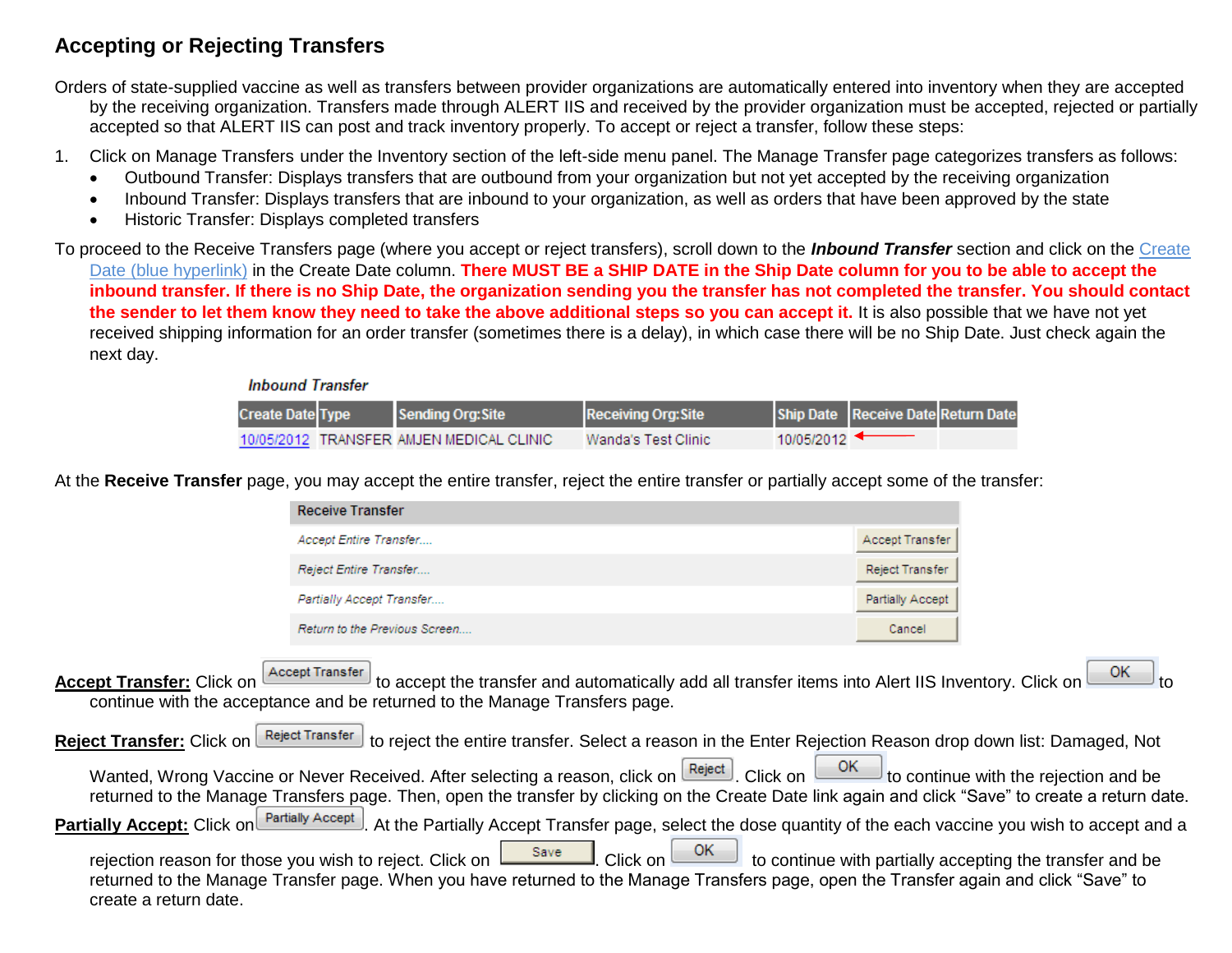### **Accepting or Rejecting Transfers**

Orders of state-supplied vaccine as well as transfers between provider organizations are automatically entered into inventory when they are accepted by the receiving organization. Transfers made through ALERT IIS and received by the provider organization must be accepted, rejected or partially accepted so that ALERT IIS can post and track inventory properly. To accept or reject a transfer, follow these steps:

- 1. Click on Manage Transfers under the Inventory section of the left-side menu panel. The Manage Transfer page categorizes transfers as follows:
	- Outbound Transfer: Displays transfers that are outbound from your organization but not yet accepted by the receiving organization
	- Inbound Transfer: Displays transfers that are inbound to your organization, as well as orders that have been approved by the state
	- Historic Transfer: Displays completed transfers

To proceed to the Receive Transfers page (where you accept or reject transfers), scroll down to the *Inbound Transfer* section and click on the Create Date (blue hyperlink) in the Create Date column. There MUST BE a SHIP DATE in the Ship Date column for you to be able to accept the **inbound transfer. If there is no Ship Date, the organization sending you the transfer has not completed the transfer. You should contact the sender to let them know they need to take the above additional steps so you can accept it.** It is also possible that we have not yet received shipping information for an order transfer (sometimes there is a delay), in which case there will be no Ship Date. Just check again the next day.

#### **Inbound Transfer**

| <b>Create Date Type</b> | Sending Org: Site                        | <b>Receiving Org: Site</b> |            | Ship Date Receive Date Return Date |  |
|-------------------------|------------------------------------------|----------------------------|------------|------------------------------------|--|
|                         | 10/05/2012 TRANSFER AMJEN MEDICAL CLINIC | Wanda's Test Clinic        | 10/05/2012 |                                    |  |

At the **Receive Transfer** page, you may accept the entire transfer, reject the entire transfer or partially accept some of the transfer:

| <b>Receive Transfer</b>       |                  |
|-------------------------------|------------------|
| Accept Entire Transfer        | Accept Transfer  |
| Reject Entire Transfer        | Reject Transfer  |
| Partially Accept Transfer     | Partially Accept |
| Return to the Previous Screen | Cancel           |

**Accept Transfer:** Click on **Accept Transfer** to accept the transfer and automatically add all transfer items into Alert IIS Inventory. Click on **COK** continue with the acceptance and be returned to the Manage Transfers page.

| Reject Transfer: Click on Reject Transfer to reject the entire transfer. Select a reason in the Enter Rejection Reason drop down list: Damaged, Not                    |  |
|------------------------------------------------------------------------------------------------------------------------------------------------------------------------|--|
| Wanted, Wrong Vaccine or Never Received. After selecting a reason, click on Reject Click on CRECT to continue with the rejection and be                                |  |
| returned to the Manage Transfers page. Then, open the transfer by clicking on the Create Date link again and click "Save" to create a return date.                     |  |
| <b>Partially Accept:</b> Click on <b>Partially Accept</b> At the Partially Accept Transfer page, select the dose quantity of the each vaccine you wish to accept and a |  |
| returned to the Manage Transfer page. When you have returned to the Manage Transfers page, open the Transfer again and click "Save" to<br>create a return date.        |  |